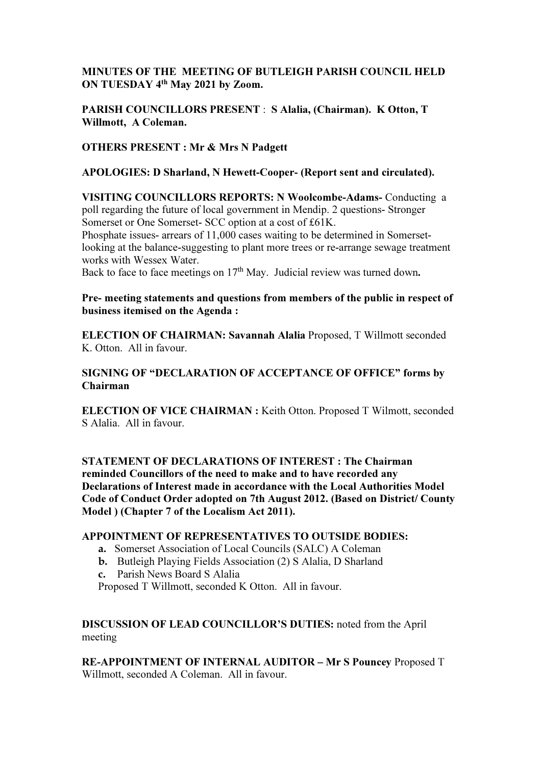# MINUTES OF THE MEETING OF BUTLEIGH PARISH COUNCIL HELD ON TUESDAY 4th May 2021 by Zoom.

## PARISH COUNCILLORS PRESENT : S Alalia, (Chairman). K Otton, T Willmott, A Coleman.

OTHERS PRESENT : Mr & Mrs N Padgett

## APOLOGIES: D Sharland, N Hewett-Cooper- (Report sent and circulated).

VISITING COUNCILLORS REPORTS: N Woolcombe-Adams- Conducting a poll regarding the future of local government in Mendip. 2 questions- Stronger Somerset or One Somerset- SCC option at a cost of £61K.

Phosphate issues- arrears of 11,000 cases waiting to be determined in Somersetlooking at the balance-suggesting to plant more trees or re-arrange sewage treatment works with Wessex Water.

Back to face to face meetings on  $17<sup>th</sup>$  May. Judicial review was turned down.

#### Pre- meeting statements and questions from members of the public in respect of business itemised on the Agenda :

ELECTION OF CHAIRMAN: Savannah Alalia Proposed, T Willmott seconded K. Otton. All in favour.

## SIGNING OF "DECLARATION OF ACCEPTANCE OF OFFICE" forms by Chairman

ELECTION OF VICE CHAIRMAN : Keith Otton. Proposed T Wilmott, seconded S Alalia. All in favour.

STATEMENT OF DECLARATIONS OF INTEREST : The Chairman reminded Councillors of the need to make and to have recorded any Declarations of Interest made in accordance with the Local Authorities Model Code of Conduct Order adopted on 7th August 2012. (Based on District/ County Model ) (Chapter 7 of the Localism Act 2011).

#### APPOINTMENT OF REPRESENTATIVES TO OUTSIDE BODIES:

- a. Somerset Association of Local Councils (SALC) A Coleman
- b. Butleigh Playing Fields Association (2) S Alalia, D Sharland
- c. Parish News Board S Alalia

Proposed T Willmott, seconded K Otton. All in favour.

## DISCUSSION OF LEAD COUNCILLOR'S DUTIES: noted from the April meeting

RE-APPOINTMENT OF INTERNAL AUDITOR – Mr S Pouncey Proposed T Willmott, seconded A Coleman. All in favour.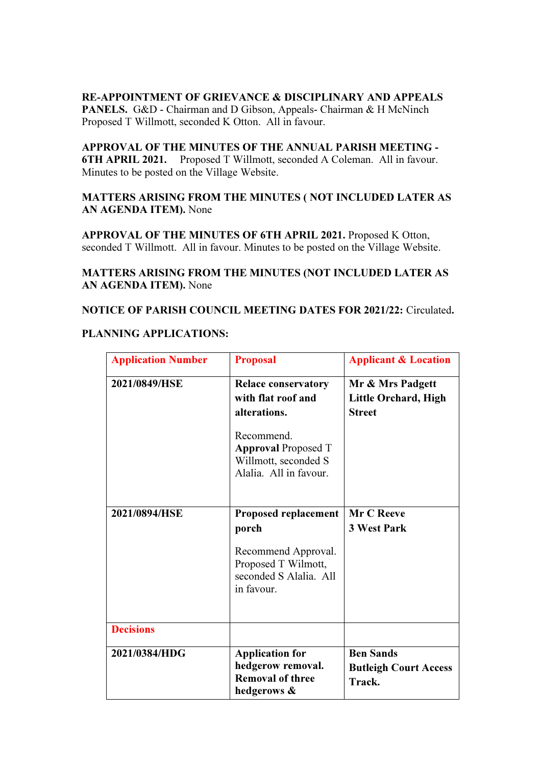#### RE-APPOINTMENT OF GRIEVANCE & DISCIPLINARY AND APPEALS

PANELS. G&D - Chairman and D Gibson, Appeals- Chairman & H McNinch Proposed T Willmott, seconded K Otton. All in favour.

APPROVAL OF THE MINUTES OF THE ANNUAL PARISH MEETING - 6TH APRIL 2021. Proposed T Willmott, seconded A Coleman. All in favour. Minutes to be posted on the Village Website.

## MATTERS ARISING FROM THE MINUTES ( NOT INCLUDED LATER AS AN AGENDA ITEM). None

APPROVAL OF THE MINUTES OF 6TH APRIL 2021. Proposed K Otton, seconded T Willmott. All in favour. Minutes to be posted on the Village Website.

#### MATTERS ARISING FROM THE MINUTES (NOT INCLUDED LATER AS AN AGENDA ITEM). None

#### NOTICE OF PARISH COUNCIL MEETING DATES FOR 2021/22: Circulated.

## PLANNING APPLICATIONS:

| <b>Application Number</b> | <b>Proposal</b>                                                                                                                                                | <b>Applicant &amp; Location</b>                                  |
|---------------------------|----------------------------------------------------------------------------------------------------------------------------------------------------------------|------------------------------------------------------------------|
| 2021/0849/HSE             | <b>Relace conservatory</b><br>with flat roof and<br>alterations.<br>Recommend.<br><b>Approval Proposed T</b><br>Willmott, seconded S<br>Alalia. All in favour. | Mr & Mrs Padgett<br><b>Little Orchard, High</b><br><b>Street</b> |
| 2021/0894/HSE             | Proposed replacement<br>porch<br>Recommend Approval.<br>Proposed T Wilmott,<br>seconded S Alalia. All<br>in favour.                                            | Mr C Reeve<br><b>3 West Park</b>                                 |
| <b>Decisions</b>          |                                                                                                                                                                |                                                                  |
| 2021/0384/HDG             | <b>Application for</b><br>hedgerow removal.<br><b>Removal of three</b><br>hedgerows &                                                                          | <b>Ben Sands</b><br><b>Butleigh Court Access</b><br>Track.       |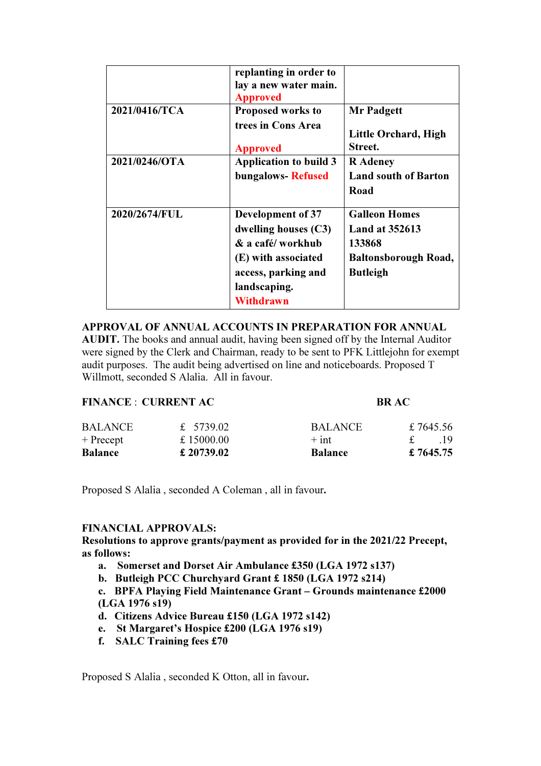|               | replanting in order to<br>lay a new water main.<br><b>Approved</b>                                                                       |                                                                                                           |
|---------------|------------------------------------------------------------------------------------------------------------------------------------------|-----------------------------------------------------------------------------------------------------------|
| 2021/0416/TCA | Proposed works to<br>trees in Cons Area<br><b>Approved</b>                                                                               | Mr Padgett<br>Little Orchard, High<br>Street.                                                             |
| 2021/0246/OTA | <b>Application to build 3</b><br>bungalows-Refused                                                                                       | <b>R</b> Adeney<br><b>Land south of Barton</b><br>Road                                                    |
| 2020/2674/FUL | Development of 37<br>dwelling houses (C3)<br>& a café/workhub<br>(E) with associated<br>access, parking and<br>landscaping.<br>Withdrawn | <b>Galleon Homes</b><br><b>Land at 352613</b><br>133868<br><b>Baltonsborough Road,</b><br><b>Butleigh</b> |

APPROVAL OF ANNUAL ACCOUNTS IN PREPARATION FOR ANNUAL AUDIT. The books and annual audit, having been signed off by the Internal Auditor were signed by the Clerk and Chairman, ready to be sent to PFK Littlejohn for exempt audit purposes. The audit being advertised on line and noticeboards. Proposed T Willmott, seconded S Alalia. All in favour.

| <b>FINANCE : CURRENT AC</b> |            | <b>BRAC</b>    |           |
|-----------------------------|------------|----------------|-----------|
| <b>BALANCE</b>              | £ 5739.02  | <b>BALANCE</b> | £7645.56  |
| $+$ Precept                 | £ 15000.00 | $+$ int        | -19       |
| <b>Balance</b>              | £ 20739.02 | <b>Balance</b> | £ 7645.75 |

Proposed S Alalia , seconded A Coleman , all in favour.

## FINANCIAL APPROVALS:

Resolutions to approve grants/payment as provided for in the 2021/22 Precept, as follows:

- a. Somerset and Dorset Air Ambulance £350 (LGA 1972 s137)
- b. Butleigh PCC Churchyard Grant £ 1850 (LGA 1972 s214)
- c. BPFA Playing Field Maintenance Grant Grounds maintenance £2000 (LGA 1976 s19)
- d. Citizens Advice Bureau £150 (LGA 1972 s142)
- e. St Margaret's Hospice £200 (LGA 1976 s19)
- f. SALC Training fees £70

Proposed S Alalia , seconded K Otton, all in favour.